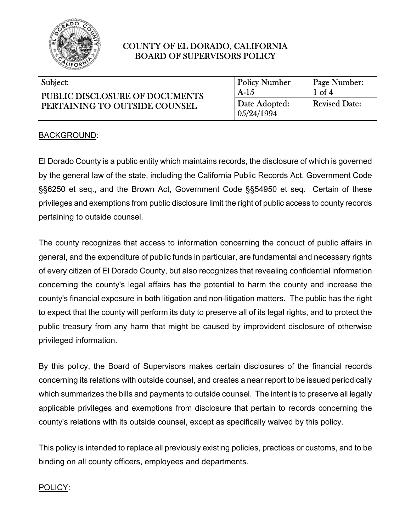

#### $\overline{\phantom{0}}$ Subject:

| Subject:                       | <b>Policy Number</b>   | Page Number:         |
|--------------------------------|------------------------|----------------------|
| PUBLIC DISCLOSURE OF DOCUMENTS | A-15                   | $1 \text{ of } 4$    |
| PERTAINING TO OUTSIDE COUNSEL  | Date Adopted:          | <b>Revised Date:</b> |
|                                | $\mid 05/24/1994 \mid$ |                      |

l

l

#### BACKGROUND:

El Dorado County is a public entity which maintains records, the disclosure of which is governed by the general law of the state, including the California Public Records Act, Government Code §§6250 et seq., and the Brown Act, Government Code §§54950 et seq. Certain of these privileges and exemptions from public disclosure limit the right of public access to county records pertaining to outside counsel.

The county recognizes that access to information concerning the conduct of public affairs in general, and the expenditure of public funds in particular, are fundamental and necessary rights of every citizen of El Dorado County, but also recognizes that revealing confidential information concerning the county's legal affairs has the potential to harm the county and increase the county's financial exposure in both litigation and non-litigation matters. The public has the right to expect that the county will perform its duty to preserve all of its legal rights, and to protect the public treasury from any harm that might be caused by improvident disclosure of otherwise privileged information.

By this policy, the Board of Supervisors makes certain disclosures of the financial records concerning its relations with outside counsel, and creates a near report to be issued periodically which summarizes the bills and payments to outside counsel. The intent is to preserve all legally applicable privileges and exemptions from disclosure that pertain to records concerning the county's relations with its outside counsel, except as specifically waived by this policy.

This policy is intended to replace all previously existing policies, practices or customs, and to be binding on all county officers, employees and departments.

#### POLICY: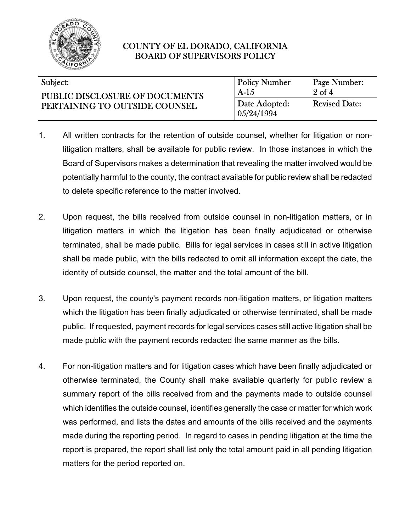

| Subject:                                                        | Policy Number               | Page Number:         |
|-----------------------------------------------------------------|-----------------------------|----------------------|
| PUBLIC DISCLOSURE OF DOCUMENTS<br>PERTAINING TO OUTSIDE COUNSEL | $A-1.5$                     | $2 \text{ of } 4$    |
|                                                                 | Date Adopted:<br>05/24/1994 | <b>Revised Date:</b> |

- 1. All written contracts for the retention of outside counsel, whether for litigation or nonlitigation matters, shall be available for public review. In those instances in which the Board of Supervisors makes a determination that revealing the matter involved would be potentially harmful to the county, the contract available for public review shall be redacted to delete specific reference to the matter involved.
- 2. Upon request, the bills received from outside counsel in non-litigation matters, or in litigation matters in which the litigation has been finally adjudicated or otherwise terminated, shall be made public. Bills for legal services in cases still in active litigation shall be made public, with the bills redacted to omit all information except the date, the identity of outside counsel, the matter and the total amount of the bill.
- 3. Upon request, the county's payment records non-litigation matters, or litigation matters which the litigation has been finally adjudicated or otherwise terminated, shall be made public. If requested, payment records for legal services cases still active litigation shall be made public with the payment records redacted the same manner as the bills.
- 4. For non-litigation matters and for litigation cases which have been finally adjudicated or otherwise terminated, the County shall make available quarterly for public review a summary report of the bills received from and the payments made to outside counsel which identifies the outside counsel, identifies generally the case or matter for which work was performed, and lists the dates and amounts of the bills received and the payments made during the reporting period. In regard to cases in pending litigation at the time the report is prepared, the report shall list only the total amount paid in all pending litigation matters for the period reported on.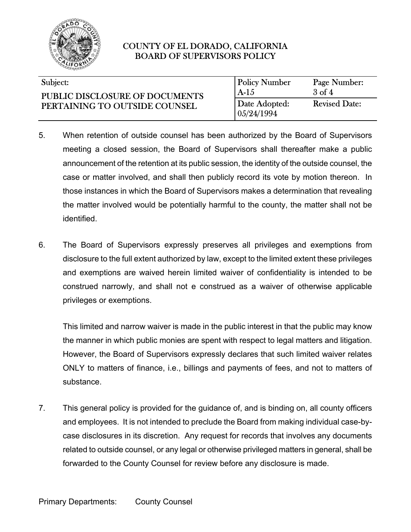

| Subject: |  |
|----------|--|
|----------|--|

 $\overline{\phantom{0}}$ 

| Subject:                                                               | <b>Policy Number</b>          | Page Number:         |
|------------------------------------------------------------------------|-------------------------------|----------------------|
| <b>PUBLIC DISCLOSURE OF DOCUMENTS</b><br>PERTAINING TO OUTSIDE COUNSEL | $A-1.5$                       | $3$ of $4$           |
|                                                                        | Date Adopted:<br>  05/24/1994 | <b>Revised Date:</b> |

 $\overline{\phantom{a}}$ 

l

- 5. When retention of outside counsel has been authorized by the Board of Supervisors meeting a closed session, the Board of Supervisors shall thereafter make a public announcement of the retention at its public session, the identity of the outside counsel, the case or matter involved, and shall then publicly record its vote by motion thereon. In those instances in which the Board of Supervisors makes a determination that revealing the matter involved would be potentially harmful to the county, the matter shall not be identified.
- 6. The Board of Supervisors expressly preserves all privileges and exemptions from disclosure to the full extent authorized by law, except to the limited extent these privileges and exemptions are waived herein limited waiver of confidentiality is intended to be construed narrowly, and shall not e construed as a waiver of otherwise applicable privileges or exemptions.

This limited and narrow waiver is made in the public interest in that the public may know the manner in which public monies are spent with respect to legal matters and litigation. However, the Board of Supervisors expressly declares that such limited waiver relates ONLY to matters of finance, i.e., billings and payments of fees, and not to matters of substance.

7. This general policy is provided for the guidance of, and is binding on, all county officers and employees. It is not intended to preclude the Board from making individual case-bycase disclosures in its discretion. Any request for records that involves any documents related to outside counsel, or any legal or otherwise privileged matters in general, shall be forwarded to the County Counsel for review before any disclosure is made.